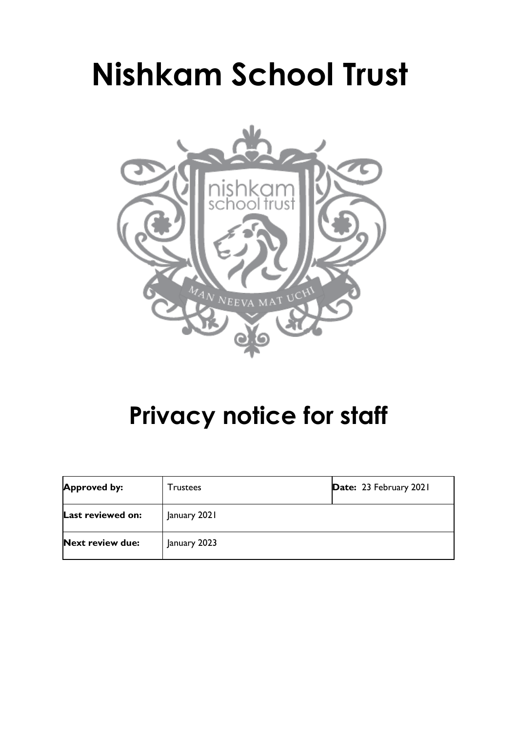# **Nishkam School Trust**



# **Privacy notice for staff**

| <b>Approved by:</b>     | <b>Trustees</b> | Date: 23 February 2021 |
|-------------------------|-----------------|------------------------|
| Last reviewed on:       | January 2021    |                        |
| <b>Next review due:</b> | January 2023    |                        |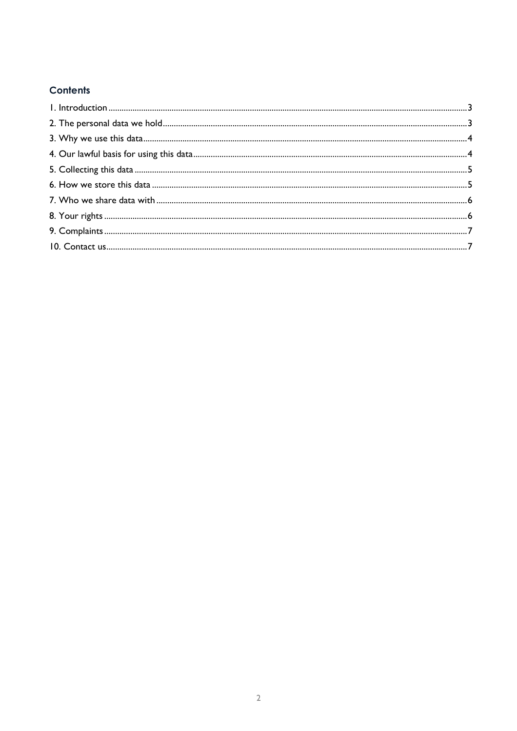# **Contents**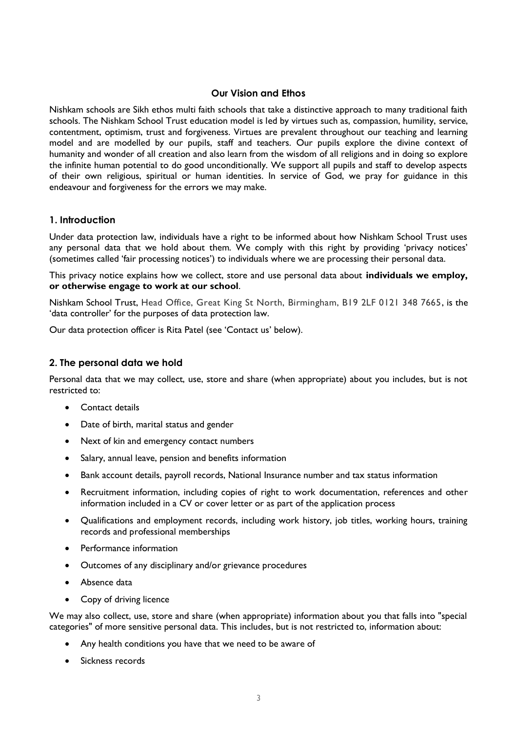## **Our Vision and Ethos**

Nishkam schools are Sikh ethos multi faith schools that take a distinctive approach to many traditional faith schools. The Nishkam School Trust education model is led by virtues such as, compassion, humility, service, contentment, optimism, trust and forgiveness. Virtues are prevalent throughout our teaching and learning model and are modelled by our pupils, staff and teachers. Our pupils explore the divine context of humanity and wonder of all creation and also learn from the wisdom of all religions and in doing so explore the infinite human potential to do good unconditionally. We support all pupils and staff to develop aspects of their own religious, spiritual or human identities. In service of God, we pray for guidance in this endeavour and forgiveness for the errors we may make.

#### <span id="page-2-0"></span>**1. Introduction**

Under data protection law, individuals have a right to be informed about how Nishkam School Trust uses any personal data that we hold about them. We comply with this right by providing 'privacy notices' (sometimes called 'fair processing notices') to individuals where we are processing their personal data.

This privacy notice explains how we collect, store and use personal data about **individuals we employ, or otherwise engage to work at our school**.

Nishkam School Trust, Head Office, Great King St North, Birmingham, B19 2LF 0121 348 7665, is the 'data controller' for the purposes of data protection law.

Our data protection officer is Rita Patel (see 'Contact us' below).

#### <span id="page-2-1"></span>**2. The personal data we hold**

Personal data that we may collect, use, store and share (when appropriate) about you includes, but is not restricted to:

- Contact details
- Date of birth, marital status and gender
- Next of kin and emergency contact numbers
- Salary, annual leave, pension and benefits information
- Bank account details, payroll records, National Insurance number and tax status information
- Recruitment information, including copies of right to work documentation, references and other information included in a CV or cover letter or as part of the application process
- Qualifications and employment records, including work history, job titles, working hours, training records and professional memberships
- Performance information
- Outcomes of any disciplinary and/or grievance procedures
- Absence data
- Copy of driving licence

We may also collect, use, store and share (when appropriate) information about you that falls into "special categories" of more sensitive personal data. This includes, but is not restricted to, information about:

- Any health conditions you have that we need to be aware of
- Sickness records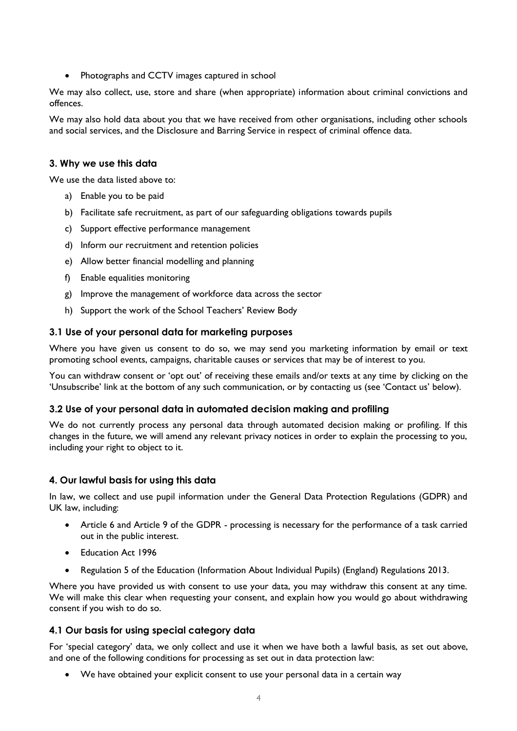• Photographs and CCTV images captured in school

We may also collect, use, store and share (when appropriate) information about criminal convictions and offences.

We may also hold data about you that we have received from other organisations, including other schools and social services, and the Disclosure and Barring Service in respect of criminal offence data.

#### <span id="page-3-0"></span>**3. Why we use this data**

We use the data listed above to:

- a) Enable you to be paid
- b) Facilitate safe recruitment, as part of our safeguarding obligations towards pupils
- c) Support effective performance management
- d) Inform our recruitment and retention policies
- e) Allow better financial modelling and planning
- f) Enable equalities monitoring
- g) Improve the management of workforce data across the sector
- h) Support the work of the School Teachers' Review Body

#### **3.1 Use of your personal data for marketing purposes**

Where you have given us consent to do so, we may send you marketing information by email or text promoting school events, campaigns, charitable causes or services that may be of interest to you.

You can withdraw consent or 'opt out' of receiving these emails and/or texts at any time by clicking on the 'Unsubscribe' link at the bottom of any such communication, or by contacting us (see 'Contact us' below).

#### **3.2 Use of your personal data in automated decision making and profiling**

We do not currently process any personal data through automated decision making or profiling. If this changes in the future, we will amend any relevant privacy notices in order to explain the processing to you, including your right to object to it.

#### <span id="page-3-1"></span>**4. Our lawful basis for using this data**

In law, we collect and use pupil information under the General Data Protection Regulations (GDPR) and UK law, including:

- Article 6 and Article 9 of the GDPR processing is necessary for the performance of a task carried out in the public interest.
- Education Act 1996
- Regulation 5 of the Education (Information About Individual Pupils) (England) Regulations 2013.

Where you have provided us with consent to use your data, you may withdraw this consent at any time. We will make this clear when requesting your consent, and explain how you would go about withdrawing consent if you wish to do so.

#### **4.1 Our basis for using special category data**

For 'special category' data, we only collect and use it when we have both a lawful basis, as set out above, and one of the following conditions for processing as set out in data protection law:

• We have obtained your explicit consent to use your personal data in a certain way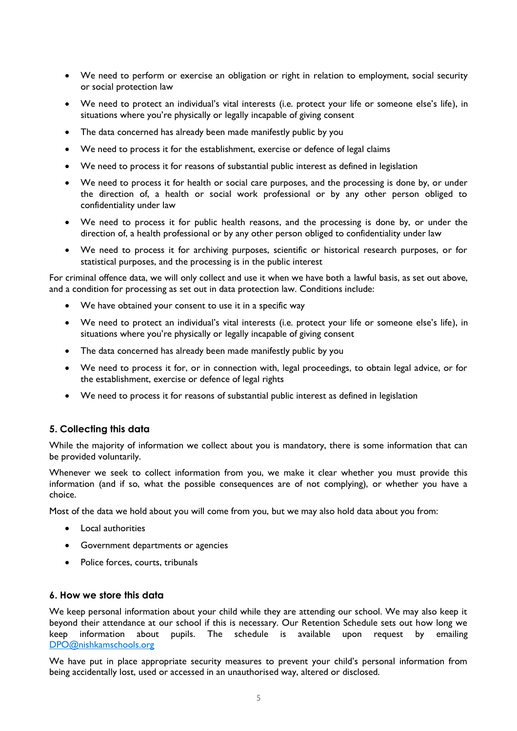- We need to perform or exercise an obligation or right in relation to employment, social security or social protection law
- We need to protect an individual's vital interests (i.e. protect your life or someone else's life), in situations where you're physically or legally incapable of giving consent
- The data concerned has already been made manifestly public by you
- We need to process it for the establishment, exercise or defence of legal claims
- We need to process it for reasons of substantial public interest as defined in legislation
- We need to process it for health or social care purposes, and the processing is done by, or under the direction of, a health or social work professional or by any other person obliged to confidentiality under law
- We need to process it for public health reasons, and the processing is done by, or under the direction of, a health professional or by any other person obliged to confidentiality under law
- We need to process it for archiving purposes, scientific or historical research purposes, or for statistical purposes, and the processing is in the public interest

For criminal offence data, we will only collect and use it when we have both a lawful basis, as set out above, and a condition for processing as set out in data protection law. Conditions include:

- We have obtained your consent to use it in a specific way
- We need to protect an individual's vital interests (i.e. protect your life or someone else's life), in situations where you're physically or legally incapable of giving consent
- The data concerned has already been made manifestly public by you
- We need to process it for, or in connection with, legal proceedings, to obtain legal advice, or for the establishment, exercise or defence of legal rights
- We need to process it for reasons of substantial public interest as defined in legislation

# <span id="page-4-0"></span>**5. Collecting this data**

While the majority of information we collect about you is mandatory, there is some information that can be provided voluntarily.

Whenever we seek to collect information from you, we make it clear whether you must provide this information (and if so, what the possible consequences are of not complying), or whether you have a choice.

Most of the data we hold about you will come from you, but we may also hold data about you from:

- Local authorities
- Government departments or agencies
- Police forces, courts, tribunals

#### <span id="page-4-1"></span>**6. How we store this data**

We keep personal information about your child while they are attending our school. We may also keep it beyond their attendance at our school if this is necessary. Our Retention Schedule sets out how long we keep information about pupils. The schedule is available upon request by emailing [DPO@nishkamschools.org](mailto:DPO@nishkamschools.org)

We have put in place appropriate security measures to prevent your child's personal information from being accidentally lost, used or accessed in an unauthorised way, altered or disclosed.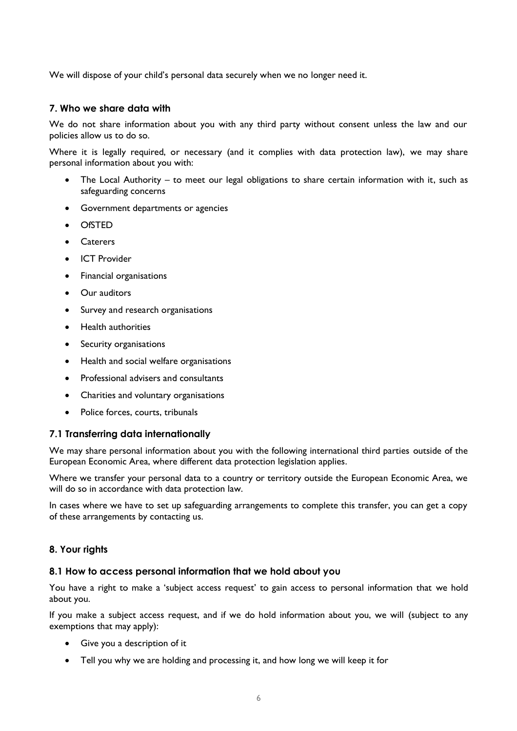We will dispose of your child's personal data securely when we no longer need it.

## <span id="page-5-0"></span>**7. Who we share data with**

We do not share information about you with any third party without consent unless the law and our policies allow us to do so.

Where it is legally required, or necessary (and it complies with data protection law), we may share personal information about you with:

- The Local Authority to meet our legal obligations to share certain information with it, such as safeguarding concerns
- Government departments or agencies
- OfSTED
- Caterers
- ICT Provider
- Financial organisations
- Our auditors
- Survey and research organisations
- Health authorities
- Security organisations
- Health and social welfare organisations
- Professional advisers and consultants
- Charities and voluntary organisations
- Police forces, courts, tribunals

# **7.1 Transferring data internationally**

We may share personal information about you with the following international third parties outside of the European Economic Area, where different data protection legislation applies.

Where we transfer your personal data to a country or territory outside the European Economic Area, we will do so in accordance with data protection law.

In cases where we have to set up safeguarding arrangements to complete this transfer, you can get a copy of these arrangements by contacting us.

# <span id="page-5-1"></span>**8. Your rights**

#### **8.1 How to access personal information that we hold about you**

You have a right to make a 'subject access request' to gain access to personal information that we hold about you.

If you make a subject access request, and if we do hold information about you, we will (subject to any exemptions that may apply):

- Give you a description of it
- Tell you why we are holding and processing it, and how long we will keep it for